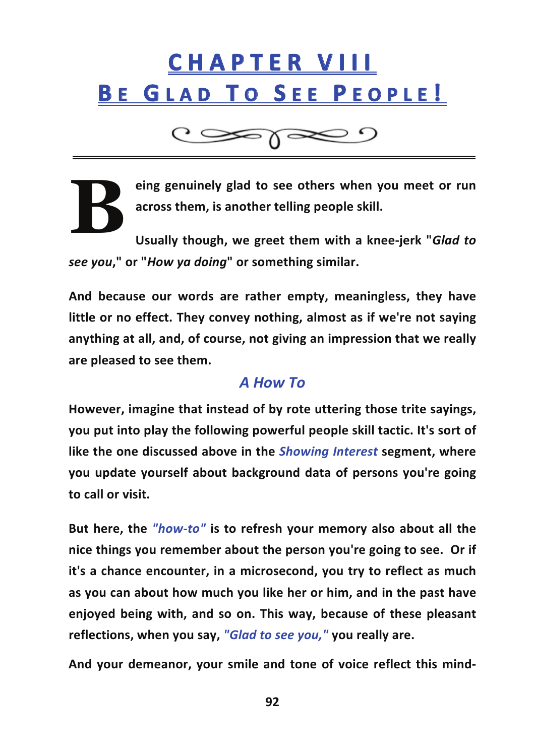## **C H A P T E R 
 V I I I** BE GLAD TO SEE PEOPLE!

 $C \gg \gamma \ll 2$ 

**eing genuinely glad to see others when you meet or run across them, is another telling people skill.**

**Usually though, we greet them with a knee-‐jerk "***Glad to see you***," or "***How ya doing***" or something similar. B**

**And because our words are rather empty, meaningless, they have little or no effect. They convey nothing, almost as if we're not saying anything at all, and, of course, not giving an impression that we really are pleased to see them.**

## *A How To*

**However, imagine that instead of by rote uttering those trite sayings, you put into play the following powerful people skill tactic. It's sort of like the one discussed above in the** *Showing Interest* **segment, where you update yourself about background data of persons you're going** to call or visit.

**But here, the** *"how-‐to"* **is to refresh your memory also about all the nice things you remember about the person you're going to see. 

 Or if it's a chance encounter, in a microsecond, you try to reflect as much as you can about how much you like her or him, and in the past have enjoyed being with, and so on. This way, because of these pleasant reflections, when you say,** *"Glad to see you,"* **you really are.**

**And your demeanor, your smile and tone of voice reflect this mind-‐**